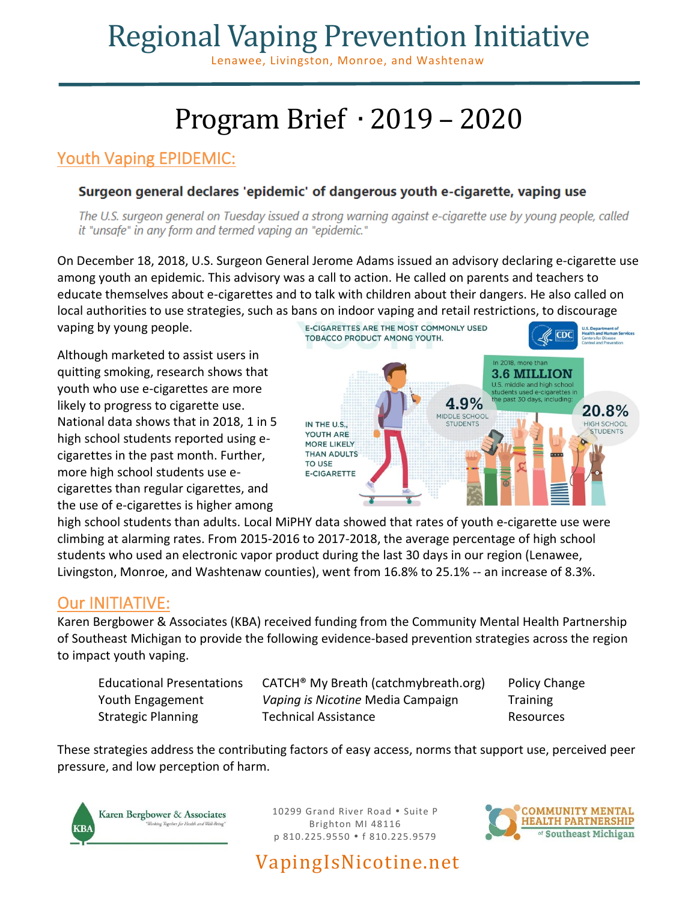## Regional Vaping Prevention Initiative

Lenawee, Livingston, Monroe, and Washtenaw

## Program Brief ∙ 2019 – 2020

### Youth Vaping EPIDEMIC:

#### Surgeon general declares 'epidemic' of dangerous youth e-cigarette, vaping use

The U.S. surgeon general on Tuesday issued a strong warning against e-cigarette use by young people, called it "unsafe" in any form and termed vaping an "epidemic."

On December 18, 2018, U.S. Surgeon General Jerome Adams issued an advisory declaring e-cigarette use among youth an epidemic. This advisory was a call to action. He called on parents and teachers to educate themselves about e-cigarettes and to talk with children about their dangers. He also called on local authorities to use strategies, such as bans on indoor vaping and retail restrictions, to discourage

vaping by young people.

Although marketed to assist users in quitting smoking, research shows that youth who use e-cigarettes are more likely to progress to cigarette use. National data shows that in 2018, 1 in 5 high school students reported using ecigarettes in the past month. Further, more high school students use ecigarettes than regular cigarettes, and the use of e-cigarettes is higher among



high school students than adults. Local MiPHY data showed that rates of youth e-cigarette use were climbing at alarming rates. From 2015-2016 to 2017-2018, the average percentage of high school students who used an electronic vapor product during the last 30 days in our region (Lenawee, Livingston, Monroe, and Washtenaw counties), went from 16.8% to 25.1% -- an increase of 8.3%.

### Our INITIATIVE:

Karen Bergbower & Associates (KBA) received funding from the Community Mental Health Partnership of Southeast Michigan to provide the following evidence-based prevention strategies across the region to impact youth vaping.

| <b>Educational Presentatior</b> |
|---------------------------------|
| Youth Engagement                |
| <b>Strategic Planning</b>       |

ns CATCH<sup>®</sup> My Breath (catchmybreath.org) Policy Change Vaping is Nicotine Media Campaign Training Technical Assistance **Resources** Resources

These strategies address the contributing factors of easy access, norms that support use, perceived peer pressure, and low perception of harm.



10299 Grand River Road . Suite P Brighton MI 48116 p 810.225.9550 f 810.225.9579

VapingIsNicotine.net